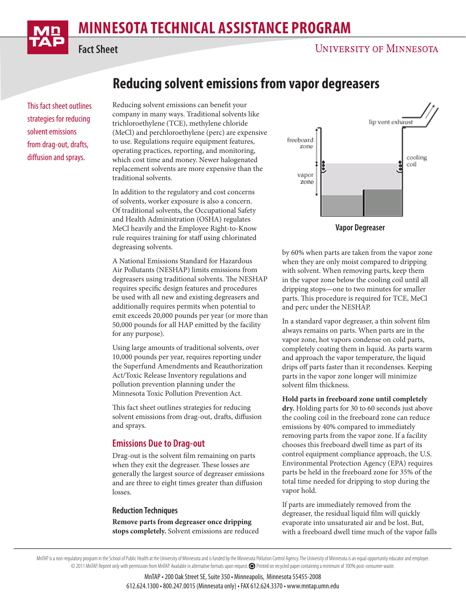# **MINNESOTA TECHNICAL ASSISTANCE PROGRAM**



**Fact Sheet**

This fact sheet outlines strategies for reducing solvent emissions from drag-out, drafts, diffusion and sprays.

## **Reducing solvent emissions from vapor degreasers**

Reducing solvent emissions can benefit your company in many ways. Traditional solvents like trichloroethylene (TCE), methylene chloride (MeCl) and perchloroethylene (perc) are expensive to use. Regulations require equipment features, operating practices, reporting, and monitoring, which cost time and money. Newer halogenated replacement solvents are more expensive than the traditional solvents.

In addition to the regulatory and cost concerns of solvents, worker exposure is also a concern. Of traditional solvents, the Occupational Safety and Health Administration (OSHA) regulates MeCl heavily and the Employee Right-to-Know rule requires training for staff using chlorinated degreasing solvents.

A National Emissions Standard for Hazardous Air Pollutants (NESHAP) limits emissions from degreasers using traditional solvents. The NESHAP requires specific design features and procedures be used with all new and existing degreasers and additionally requires permits when potential to emit exceeds 20,000 pounds per year (or more than 50,000 pounds for all HAP emitted by the facility for any purpose).

Using large amounts of traditional solvents, over 10,000 pounds per year, requires reporting under the Superfund Amendments and Reauthorization Act/Toxic Release Inventory regulations and pollution prevention planning under the Minnesota Toxic Pollution Prevention Act.

This fact sheet outlines strategies for reducing solvent emissions from drag-out, drafts, diffusion and sprays.

## **Emissions Due to Drag-out**

Drag-out is the solvent film remaining on parts when they exit the degreaser. These losses are generally the largest source of degreaser emissions and are three to eight times greater than diffusion losses.

#### **Reduction Techniques**

**Remove parts from degreaser once dripping stops completely.** Solvent emissions are reduced



**Vapor Degreaser**

by 60% when parts are taken from the vapor zone when they are only moist compared to dripping with solvent. When removing parts, keep them in the vapor zone below the cooling coil until all dripping stops—one to two minutes for smaller parts. This procedure is required for TCE, MeCl and perc under the NESHAP.

In a standard vapor degreaser, a thin solvent film always remains on parts. When parts are in the vapor zone, hot vapors condense on cold parts, completely coating them in liquid. As parts warm and approach the vapor temperature, the liquid drips off parts faster than it recondenses. Keeping parts in the vapor zone longer will minimize solvent film thickness.

**Hold parts in freeboard zone until completely dry.** Holding parts for 30 to 60 seconds just above the cooling coil in the freeboard zone can reduce emissions by 40% compared to immediately removing parts from the vapor zone. If a facility chooses this freeboard dwell time as part of its control equipment compliance approach, the U.S. Environmental Protection Agency (EPA) requires parts be held in the freeboard zone for 35% of the total time needed for dripping to stop during the vapor hold.

If parts are immediately removed from the degreaser, the residual liquid film will quickly evaporate into unsaturated air and be lost. But, with a freeboard dwell time much of the vapor falls

MnTAP • 200 Oak Street SE, Suite 350 • Minneapolis, Minnesota 55455-2008 612.624.1300 • 800.247.0015 (Minnesota only) • FAX 612.624.3370 • www.mntap.umn.edu

MnTAP is a non-regulatory program in the School of Public Health at the University of Minnesota and is funded by the Minnesota Pollution Control Agency. The University of Minnesota is an equal opportunity educator and empl © 2011 MnTAP. Reprint only with permission from MnTAP. Available in alternative formats upon request. Printed on recycled paper containing a minimum of 100% post-consumer waste.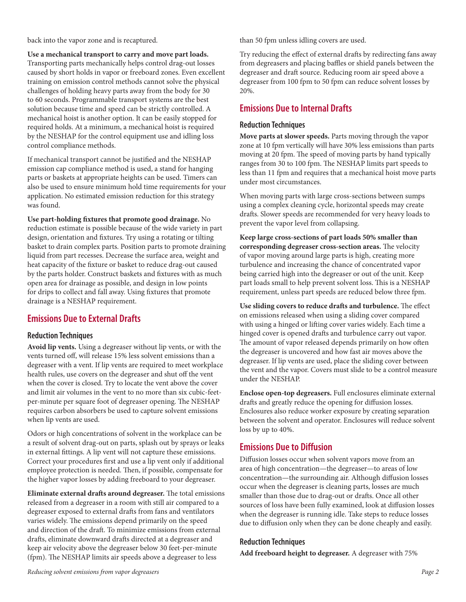back into the vapor zone and is recaptured.

**Use a mechanical transport to carry and move part loads.** Transporting parts mechanically helps control drag-out losses caused by short holds in vapor or freeboard zones. Even excellent training on emission control methods cannot solve the physical challenges of holding heavy parts away from the body for 30 to 60 seconds. Programmable transport systems are the best solution because time and speed can be strictly controlled. A mechanical hoist is another option. It can be easily stopped for required holds. At a minimum, a mechanical hoist is required by the NESHAP for the control equipment use and idling loss control compliance methods.

If mechanical transport cannot be justified and the NESHAP emission cap compliance method is used, a stand for hanging parts or baskets at appropriate heights can be used. Timers can also be used to ensure minimum hold time requirements for your application. No estimated emission reduction for this strategy was found.

**Use part-holding fixtures that promote good drainage.** No reduction estimate is possible because of the wide variety in part design, orientation and fixtures. Try using a rotating or tilting basket to drain complex parts. Position parts to promote draining liquid from part recesses. Decrease the surface area, weight and heat capacity of the fixture or basket to reduce drag-out caused by the parts holder. Construct baskets and fixtures with as much open area for drainage as possible, and design in low points for drips to collect and fall away. Using fixtures that promote drainage is a NESHAP requirement.

## **Emissions Due to External Drafts**

## **Reduction Techniques**

**Avoid lip vents.** Using a degreaser without lip vents, or with the vents turned off, will release 15% less solvent emissions than a degreaser with a vent. If lip vents are required to meet workplace health rules, use covers on the degreaser and shut off the vent when the cover is closed. Try to locate the vent above the cover and limit air volumes in the vent to no more than six cubic-feetper-minute per square foot of degreaser opening. The NESHAP requires carbon absorbers be used to capture solvent emissions when lip vents are used.

Odors or high concentrations of solvent in the workplace can be a result of solvent drag-out on parts, splash out by sprays or leaks in external fittings. A lip vent will not capture these emissions. Correct your procedures first and use a lip vent only if additional employee protection is needed. Then, if possible, compensate for the higher vapor losses by adding freeboard to your degreaser.

**Eliminate external drafts around degreaser.** The total emissions released from a degreaser in a room with still air compared to a degreaser exposed to external drafts from fans and ventilators varies widely. The emissions depend primarily on the speed and direction of the draft. To minimize emissions from external drafts, eliminate downward drafts directed at a degreaser and keep air velocity above the degreaser below 30 feet-per-minute (fpm). The NESHAP limits air speeds above a degreaser to less

than 50 fpm unless idling covers are used.

Try reducing the effect of external drafts by redirecting fans away from degreasers and placing baffles or shield panels between the degreaser and draft source. Reducing room air speed above a degreaser from 100 fpm to 50 fpm can reduce solvent losses by 20%.

## **Emissions Due to Internal Drafts**

## **Reduction Techniques**

**Move parts at slower speeds.** Parts moving through the vapor zone at 10 fpm vertically will have 30% less emissions than parts moving at 20 fpm. The speed of moving parts by hand typically ranges from 30 to 100 fpm. The NESHAP limits part speeds to less than 11 fpm and requires that a mechanical hoist move parts under most circumstances.

When moving parts with large cross-sections between sumps using a complex cleaning cycle, horizontal speeds may create drafts. Slower speeds are recommended for very heavy loads to prevent the vapor level from collapsing.

**Keep large cross-sections of part loads 50% smaller than corresponding degreaser cross-section areas.** The velocity of vapor moving around large parts is high, creating more turbulence and increasing the chance of concentrated vapor being carried high into the degreaser or out of the unit. Keep part loads small to help prevent solvent loss. This is a NESHAP requirement, unless part speeds are reduced below three fpm.

**Use sliding covers to reduce drafts and turbulence.** The effect on emissions released when using a sliding cover compared with using a hinged or lifting cover varies widely. Each time a hinged cover is opened drafts and turbulence carry out vapor. The amount of vapor released depends primarily on how often the degreaser is uncovered and how fast air moves above the degreaser. If lip vents are used, place the sliding cover between the vent and the vapor. Covers must slide to be a control measure under the NESHAP.

**Enclose open-top degreasers.** Full enclosures eliminate external drafts and greatly reduce the opening for diffusion losses. Enclosures also reduce worker exposure by creating separation between the solvent and operator. Enclosures will reduce solvent loss by up to 40%.

## **Emissions Due to Diffusion**

Diffusion losses occur when solvent vapors move from an area of high concentration—the degreaser—to areas of low concentration—the surrounding air. Although diffusion losses occur when the degreaser is cleaning parts, losses are much smaller than those due to drag-out or drafts. Once all other sources of loss have been fully examined, look at diffusion losses when the degreaser is running idle. Take steps to reduce losses due to diffusion only when they can be done cheaply and easily.

## **Reduction Techniques**

**Add freeboard height to degreaser.** A degreaser with 75%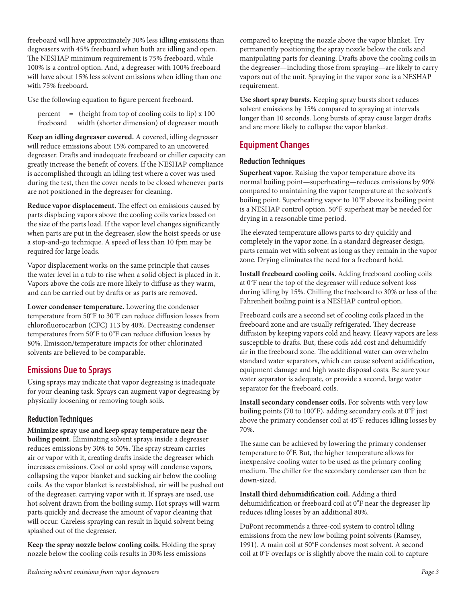freeboard will have approximately 30% less idling emissions than degreasers with 45% freeboard when both are idling and open. The NESHAP minimum requirement is 75% freeboard, while 100% is a control option. And, a degreaser with 100% freeboard will have about 15% less solvent emissions when idling than one with 75% freeboard.

Use the following equation to figure percent freeboard.

percent  $=$  (height from top of cooling coils to lip) x 100 freeboard width (shorter dimension) of degreaser mouth

**Keep an idling degreaser covered.** A covered, idling degreaser will reduce emissions about 15% compared to an uncovered degreaser. Drafts and inadequate freeboard or chiller capacity can greatly increase the benefit of covers. If the NESHAP compliance is accomplished through an idling test where a cover was used during the test, then the cover needs to be closed whenever parts are not positioned in the degreaser for cleaning.

**Reduce vapor displacement.** The effect on emissions caused by parts displacing vapors above the cooling coils varies based on the size of the parts load. If the vapor level changes significantly when parts are put in the degreaser, slow the hoist speeds or use a stop-and-go technique. A speed of less than 10 fpm may be required for large loads.

Vapor displacement works on the same principle that causes the water level in a tub to rise when a solid object is placed in it. Vapors above the coils are more likely to diffuse as they warm, and can be carried out by drafts or as parts are removed.

**Lower condenser temperature.** Lowering the condenser temperature from 50°F to 30°F can reduce diffusion losses from chlorofluorocarbon (CFC) 113 by 40%. Decreasing condenser temperatures from 50°F to 0°F can reduce diffusion losses by 80%. Emission/temperature impacts for other chlorinated solvents are believed to be comparable.

## **Emissions Due to Sprays**

Using sprays may indicate that vapor degreasing is inadequate for your cleaning task. Sprays can augment vapor degreasing by physically loosening or removing tough soils.

## **Reduction Techniques**

**Minimize spray use and keep spray temperature near the boiling point.** Eliminating solvent sprays inside a degreaser reduces emissions by 30% to 50%. The spray stream carries air or vapor with it, creating drafts inside the degreaser which increases emissions. Cool or cold spray will condense vapors, collapsing the vapor blanket and sucking air below the cooling coils. As the vapor blanket is reestablished, air will be pushed out of the degreaser, carrying vapor with it. If sprays are used, use hot solvent drawn from the boiling sump. Hot sprays will warm parts quickly and decrease the amount of vapor cleaning that will occur. Careless spraying can result in liquid solvent being splashed out of the degreaser.

**Keep the spray nozzle below cooling coils.** Holding the spray nozzle below the cooling coils results in 30% less emissions

compared to keeping the nozzle above the vapor blanket. Try permanently positioning the spray nozzle below the coils and manipulating parts for cleaning. Drafts above the cooling coils in the degreaser—including those from spraying—are likely to carry vapors out of the unit. Spraying in the vapor zone is a NESHAP requirement.

**Use short spray bursts.** Keeping spray bursts short reduces solvent emissions by 15% compared to spraying at intervals longer than 10 seconds. Long bursts of spray cause larger drafts and are more likely to collapse the vapor blanket.

## **Equipment Changes**

#### **Reduction Techniques**

**Superheat vapor.** Raising the vapor temperature above its normal boiling point—superheating—reduces emissions by 90% compared to maintaining the vapor temperature at the solvent's boiling point. Superheating vapor to 10°F above its boiling point is a NESHAP control option. 50°F superheat may be needed for drying in a reasonable time period.

The elevated temperature allows parts to dry quickly and completely in the vapor zone. In a standard degreaser design, parts remain wet with solvent as long as they remain in the vapor zone. Drying eliminates the need for a freeboard hold.

**Install freeboard cooling coils.** Adding freeboard cooling coils at 0°F near the top of the degreaser will reduce solvent loss during idling by 15%. Chilling the freeboard to 30% or less of the Fahrenheit boiling point is a NESHAP control option.

Freeboard coils are a second set of cooling coils placed in the freeboard zone and are usually refrigerated. They decrease diffusion by keeping vapors cold and heavy. Heavy vapors are less susceptible to drafts. But, these coils add cost and dehumidify air in the freeboard zone. The additional water can overwhelm standard water separators, which can cause solvent acidification, equipment damage and high waste disposal costs. Be sure your water separator is adequate, or provide a second, large water separator for the freeboard coils.

**Install secondary condenser coils.** For solvents with very low boiling points (70 to 100°F), adding secondary coils at 0°F just above the primary condenser coil at 45°F reduces idling losses by 70%.

The same can be achieved by lowering the primary condenser temperature to 0°F. But, the higher temperature allows for inexpensive cooling water to be used as the primary cooling medium. The chiller for the secondary condenser can then be down-sized.

**Install third dehumidification coil.** Adding a third dehumidification or freeboard coil at 0°F near the degreaser lip reduces idling losses by an additional 80%.

DuPont recommends a three-coil system to control idling emissions from the new low boiling point solvents (Ramsey, 1991). A main coil at 50°F condenses most solvent. A second coil at 0°F overlaps or is slightly above the main coil to capture